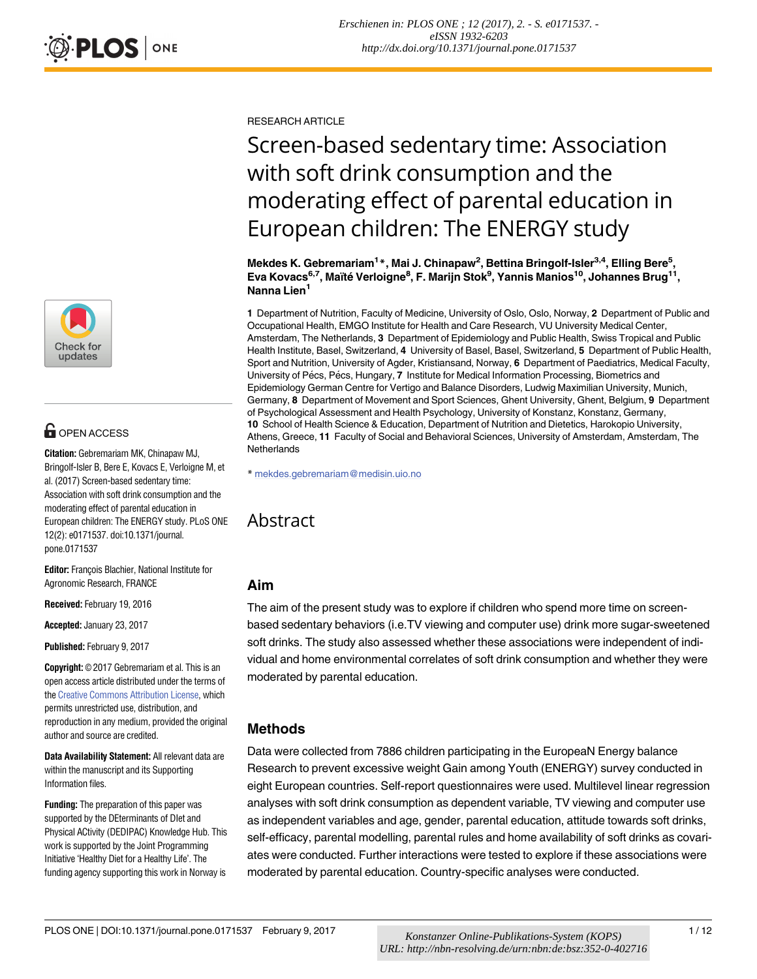

# **OPEN ACCESS**

**Citation:** Gebremariam MK, Chinapaw MJ, Bringolf-Isler B, Bere E, Kovacs E, Verloigne M, et al. (2017) Screen-based sedentary time: Association with soft drink consumption and the moderating effect of parental education in European children: The ENERGY study. PLoS ONE 12(2): e0171537. doi:10.1371/journal. pone.0171537

**Editor:** François Blachier, National Institute for Agronomic Research, FRANCE

**Received:** February 19, 2016

**Accepted:** January 23, 2017

**Published:** February 9, 2017

**Copyright:** © 2017 Gebremariam et al. This is an open access article distributed under the terms of the Creative [Commons](http://creativecommons.org/licenses/by/4.0/) Attribution License, which permits unrestricted use, distribution, and reproduction in any medium, provided the original author and source are credited.

**Data Availability Statement:** All relevant data are within the manuscript and its Supporting Information files.

**Funding:** The preparation of this paper was supported by the DEterminants of DIet and Physical ACtivity (DEDIPAC) Knowledge Hub. This work is supported by the Joint Programming Initiative 'Healthy Diet for a Healthy Life'. The funding agency supporting this work in Norway is

# Screen-based sedentary time: Association with soft drink consumption and the moderating effect of parental education in European children: The ENERGY study

*Erschienen in: PLOS ONE ; 12 (2017), 2. - S. e0171537. eISSN 1932-6203 http://dx.doi.org/10.1371/journal.pone.0171537*

**Mekdes K. Gebremariam1 \*, Mai J. Chinapaw2 , Bettina Bringolf-Isler3,4, Elling Bere5 , Eva Kovacs6,7, Maïte´ Verloigne8 , F. Marijn Stok9 , Yannis Manios10, Johannes Brug11, Nanna Lien1**

**1** Department of Nutrition, Faculty of Medicine, University of Oslo, Oslo, Norway, **2** Department of Public and Occupational Health, EMGO Institute for Health and Care Research, VU University Medical Center, Amsterdam, The Netherlands, **3** Department of Epidemiology and Public Health, Swiss Tropical and Public Health Institute, Basel, Switzerland, **4** University of Basel, Basel, Switzerland, **5** Department of Public Health, Sport and Nutrition, University of Agder, Kristiansand, Norway, **6** Department of Paediatrics, Medical Faculty, University of Pécs, Pécs, Hungary, 7 Institute for Medical Information Processing, Biometrics and Epidemiology German Centre for Vertigo and Balance Disorders, Ludwig Maximilian University, Munich, Germany, **8** Department of Movement and Sport Sciences, Ghent University, Ghent, Belgium, **9** Department of Psychological Assessment and Health Psychology, University of Konstanz, Konstanz, Germany, **10** School of Health Science & Education, Department of Nutrition and Dietetics, Harokopio University, Athens, Greece, **11** Faculty of Social and Behavioral Sciences, University of Amsterdam, Amsterdam, The **Netherlands** 

\* mekdes.gebremariam@medisin.uio.no

# Abstract

## **Aim**

The aim of the present study was to explore if children who spend more time on screenbased sedentary behaviors (i.e.TV viewing and computer use) drink more sugar-sweetened soft drinks. The study also assessed whether these associations were independent of individual and home environmental correlates of soft drink consumption and whether they were moderated by parental education.

## **Methods**

Data were collected from 7886 children participating in the EuropeaN Energy balance Research to prevent excessive weight Gain among Youth (ENERGY) survey conducted in eight European countries. Self-report questionnaires were used. Multilevel linear regression analyses with soft drink consumption as dependent variable, TV viewing and computer use as independent variables and age, gender, parental education, attitude towards soft drinks, self-efficacy, parental modelling, parental rules and home availability of soft drinks as covariates were conducted. Further interactions were tested to explore if these associations were moderated by parental education. Country-specific analyses were conducted.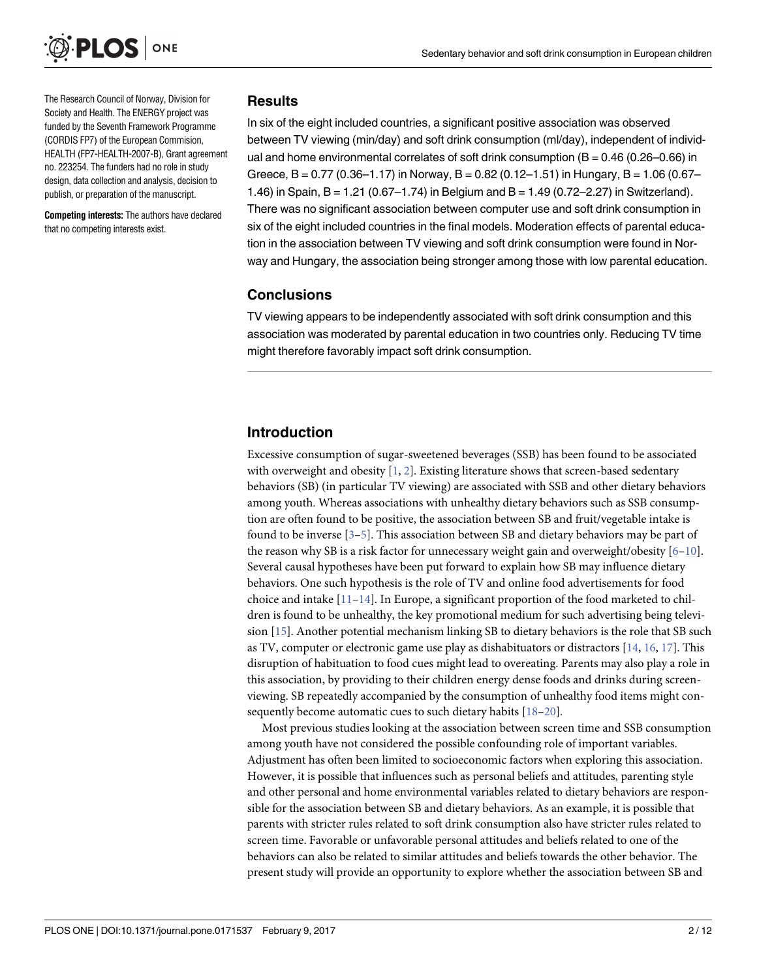<span id="page-1-0"></span>

The Research Council of Norway, Division for Society and Health. The ENERGY project was funded by the Seventh Framework Programme (CORDIS FP7) of the European Commision, HEALTH (FP7-HEALTH-2007-B), Grant agreement no. 223254. The funders had no role in study design, data collection and analysis, decision to publish, or preparation of the manuscript.

**Competing interests:** The authors have declared that no competing interests exist.

### **Results**

In six of the eight included countries, a significant positive association was observed between TV viewing (min/day) and soft drink consumption (ml/day), independent of individual and home environmental correlates of soft drink consumption  $(B = 0.46 (0.26 - 0.66)$  in Greece,  $B = 0.77$  (0.36–1.17) in Norway,  $B = 0.82$  (0.12–1.51) in Hungary,  $B = 1.06$  (0.67– 1.46) in Spain, B = 1.21 (0.67–1.74) in Belgium and B = 1.49 (0.72–2.27) in Switzerland). There was no significant association between computer use and soft drink consumption in six of the eight included countries in the final models. Moderation effects of parental education in the association between TV viewing and soft drink consumption were found in Norway and Hungary, the association being stronger among those with low parental education.

### **Conclusions**

TV viewing appears to be independently associated with soft drink consumption and this association was moderated by parental education in two countries only. Reducing TV time might therefore favorably impact soft drink consumption.

## **Introduction**

Excessive consumption of sugar-sweetened beverages (SSB) has been found to be associated with overweight and obesity  $[1, 2]$  $[1, 2]$  $[1, 2]$  $[1, 2]$ . Existing literature shows that screen-based sedentary behaviors (SB) (in particular TV viewing) are associated with SSB and other dietary behaviors among youth. Whereas associations with unhealthy dietary behaviors such as SSB consumption are often found to be positive, the association between SB and fruit/vegetable intake is found to be inverse [\[3–5\]](#page-10-0). This association between SB and dietary behaviors may be part of the reason why SB is a risk factor for unnecessary weight gain and overweight/obesity  $[6-10]$ . Several causal hypotheses have been put forward to explain how SB may influence dietary behaviors. One such hypothesis is the role of TV and online food advertisements for food choice and intake  $[11-14]$ . In Europe, a significant proportion of the food marketed to children is found to be unhealthy, the key promotional medium for such advertising being television [\[15\]](#page-10-0). Another potential mechanism linking SB to dietary behaviors is the role that SB such as TV, computer or electronic game use play as dishabituators or distractors [[14](#page-10-0), [16](#page-10-0), [17](#page-10-0)]. This disruption of habituation to food cues might lead to overeating. Parents may also play a role in this association, by providing to their children energy dense foods and drinks during screenviewing. SB repeatedly accompanied by the consumption of unhealthy food items might consequently become automatic cues to such dietary habits [[18–20\]](#page-10-0).

Most previous studies looking at the association between screen time and SSB consumption among youth have not considered the possible confounding role of important variables. Adjustment has often been limited to socioeconomic factors when exploring this association. However, it is possible that influences such as personal beliefs and attitudes, parenting style and other personal and home environmental variables related to dietary behaviors are responsible for the association between SB and dietary behaviors. As an example, it is possible that parents with stricter rules related to soft drink consumption also have stricter rules related to screen time. Favorable or unfavorable personal attitudes and beliefs related to one of the behaviors can also be related to similar attitudes and beliefs towards the other behavior. The present study will provide an opportunity to explore whether the association between SB and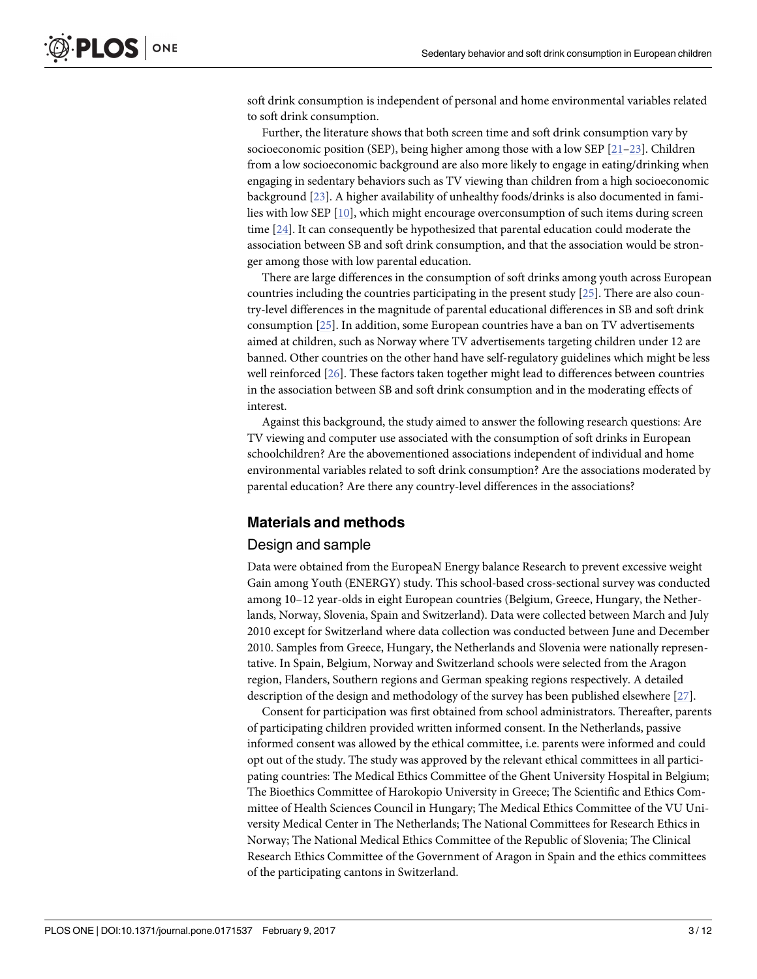<span id="page-2-0"></span>soft drink consumption is independent of personal and home environmental variables related to soft drink consumption.

Further, the literature shows that both screen time and soft drink consumption vary by socioeconomic position (SEP), being higher among those with a low SEP  $[21-23]$  $[21-23]$  $[21-23]$ . Children from a low socioeconomic background are also more likely to engage in eating/drinking when engaging in sedentary behaviors such as TV viewing than children from a high socioeconomic background [[23](#page-11-0)]. A higher availability of unhealthy foods/drinks is also documented in families with low SEP [\[10\]](#page-10-0), which might encourage overconsumption of such items during screen time [[24](#page-11-0)]. It can consequently be hypothesized that parental education could moderate the association between SB and soft drink consumption, and that the association would be stronger among those with low parental education.

There are large differences in the consumption of soft drinks among youth across European countries including the countries participating in the present study [\[25\]](#page-11-0). There are also country-level differences in the magnitude of parental educational differences in SB and soft drink consumption [[25](#page-11-0)]. In addition, some European countries have a ban on TV advertisements aimed at children, such as Norway where TV advertisements targeting children under 12 are banned. Other countries on the other hand have self-regulatory guidelines which might be less well reinforced [\[26\]](#page-11-0). These factors taken together might lead to differences between countries in the association between SB and soft drink consumption and in the moderating effects of interest.

Against this background, the study aimed to answer the following research questions: Are TV viewing and computer use associated with the consumption of soft drinks in European schoolchildren? Are the abovementioned associations independent of individual and home environmental variables related to soft drink consumption? Are the associations moderated by parental education? Are there any country-level differences in the associations?

### **Materials and methods**

### Design and sample

Data were obtained from the EuropeaN Energy balance Research to prevent excessive weight Gain among Youth (ENERGY) study. This school-based cross-sectional survey was conducted among 10–12 year-olds in eight European countries (Belgium, Greece, Hungary, the Netherlands, Norway, Slovenia, Spain and Switzerland). Data were collected between March and July 2010 except for Switzerland where data collection was conducted between June and December 2010. Samples from Greece, Hungary, the Netherlands and Slovenia were nationally representative. In Spain, Belgium, Norway and Switzerland schools were selected from the Aragon region, Flanders, Southern regions and German speaking regions respectively. A detailed description of the design and methodology of the survey has been published elsewhere [\[27](#page-11-0)].

Consent for participation was first obtained from school administrators. Thereafter, parents of participating children provided written informed consent. In the Netherlands, passive informed consent was allowed by the ethical committee, i.e. parents were informed and could opt out of the study. The study was approved by the relevant ethical committees in all participating countries: The Medical Ethics Committee of the Ghent University Hospital in Belgium; The Bioethics Committee of Harokopio University in Greece; The Scientific and Ethics Committee of Health Sciences Council in Hungary; The Medical Ethics Committee of the VU University Medical Center in The Netherlands; The National Committees for Research Ethics in Norway; The National Medical Ethics Committee of the Republic of Slovenia; The Clinical Research Ethics Committee of the Government of Aragon in Spain and the ethics committees of the participating cantons in Switzerland.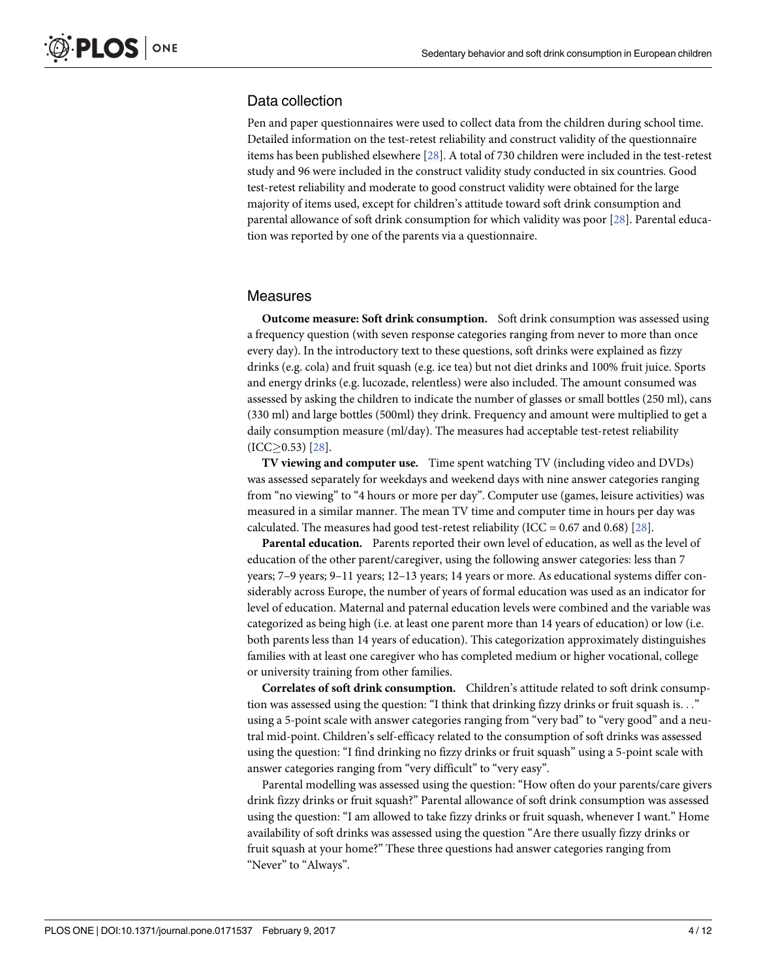### <span id="page-3-0"></span>Data collection

Pen and paper questionnaires were used to collect data from the children during school time. Detailed information on the test-retest reliability and construct validity of the questionnaire items has been published elsewhere [[28](#page-11-0)]. A total of 730 children were included in the test-retest study and 96 were included in the construct validity study conducted in six countries. Good test-retest reliability and moderate to good construct validity were obtained for the large majority of items used, except for children's attitude toward soft drink consumption and parental allowance of soft drink consumption for which validity was poor [\[28\]](#page-11-0). Parental education was reported by one of the parents via a questionnaire.

### Measures

**Outcome measure: Soft drink consumption.** Soft drink consumption was assessed using a frequency question (with seven response categories ranging from never to more than once every day). In the introductory text to these questions, soft drinks were explained as fizzy drinks (e.g. cola) and fruit squash (e.g. ice tea) but not diet drinks and 100% fruit juice. Sports and energy drinks (e.g. lucozade, relentless) were also included. The amount consumed was assessed by asking the children to indicate the number of glasses or small bottles (250 ml), cans (330 ml) and large bottles (500ml) they drink. Frequency and amount were multiplied to get a daily consumption measure (ml/day). The measures had acceptable test-retest reliability  $(ICC \geq 0.53)$  [\[28\]](#page-11-0).

**TV viewing and computer use.** Time spent watching TV (including video and DVDs) was assessed separately for weekdays and weekend days with nine answer categories ranging from "no viewing" to "4 hours or more per day". Computer use (games, leisure activities) was measured in a similar manner. The mean TV time and computer time in hours per day was calculated. The measures had good test-retest reliability (ICC =  $0.67$  and  $0.68$ ) [\[28\]](#page-11-0).

**Parental education.** Parents reported their own level of education, as well as the level of education of the other parent/caregiver, using the following answer categories: less than 7 years; 7–9 years; 9–11 years; 12–13 years; 14 years or more. As educational systems differ considerably across Europe, the number of years of formal education was used as an indicator for level of education. Maternal and paternal education levels were combined and the variable was categorized as being high (i.e. at least one parent more than 14 years of education) or low (i.e. both parents less than 14 years of education). This categorization approximately distinguishes families with at least one caregiver who has completed medium or higher vocational, college or university training from other families.

**Correlates of soft drink consumption.** Children's attitude related to soft drink consumption was assessed using the question: "I think that drinking fizzy drinks or fruit squash is. . ." using a 5-point scale with answer categories ranging from "very bad" to "very good" and a neutral mid-point. Children's self-efficacy related to the consumption of soft drinks was assessed using the question: "I find drinking no fizzy drinks or fruit squash" using a 5-point scale with answer categories ranging from "very difficult" to "very easy".

Parental modelling was assessed using the question: "How often do your parents/care givers drink fizzy drinks or fruit squash?" Parental allowance of soft drink consumption was assessed using the question: "I am allowed to take fizzy drinks or fruit squash, whenever I want." Home availability of soft drinks was assessed using the question "Are there usually fizzy drinks or fruit squash at your home?" These three questions had answer categories ranging from "Never" to "Always".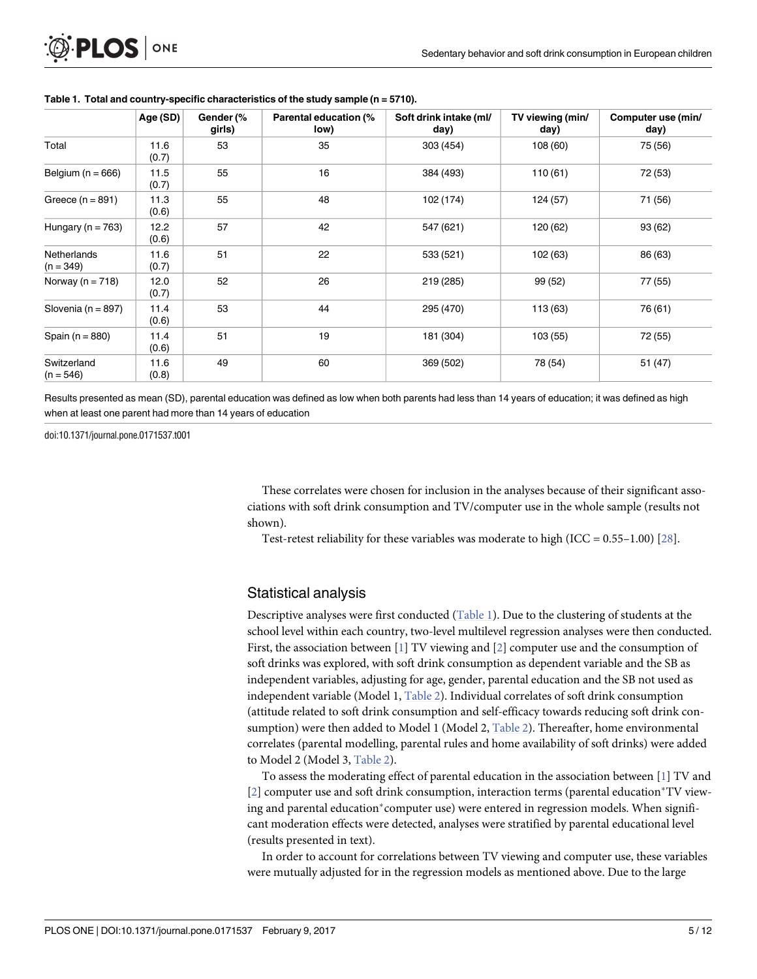<span id="page-4-0"></span>

| <b>D.PLOS</b> ONE |  |
|-------------------|--|
|-------------------|--|

|                            | Age (SD)      | Gender (%<br>girls) | Parental education (%<br>low) | Soft drink intake (ml/<br>day) | TV viewing (min/<br>day) | Computer use (min/<br>day) |
|----------------------------|---------------|---------------------|-------------------------------|--------------------------------|--------------------------|----------------------------|
| Total                      | 11.6<br>(0.7) | 53                  | 35                            | 303 (454)                      | 108 (60)                 | 75 (56)                    |
| Belgium ( $n = 666$ )      | 11.5<br>(0.7) | 55                  | 16                            | 384 (493)                      | 110(61)                  | 72 (53)                    |
| Greece $(n = 891)$         | 11.3<br>(0.6) | 55                  | 48                            | 102 (174)                      | 124 (57)                 | 71 (56)                    |
| Hungary ( $n = 763$ )      | 12.2<br>(0.6) | 57                  | 42                            | 547 (621)                      | 120 (62)                 | 93(62)                     |
| Netherlands<br>$(n = 349)$ | 11.6<br>(0.7) | 51                  | 22                            | 533 (521)                      | 102 (63)                 | 86 (63)                    |
| Norway ( $n = 718$ )       | 12.0<br>(0.7) | 52                  | 26                            | 219 (285)                      | 99 (52)                  | 77 (55)                    |
| Slovenia ( $n = 897$ )     | 11.4<br>(0.6) | 53                  | 44                            | 295 (470)                      | 113 (63)                 | 76 (61)                    |
| Spain ( $n = 880$ )        | 11.4<br>(0.6) | 51                  | 19                            | 181 (304)                      | 103 (55)                 | 72 (55)                    |
| Switzerland<br>$(n = 546)$ | 11.6<br>(0.8) | 49                  | 60                            | 369 (502)                      | 78 (54)                  | 51 (47)                    |

#### **Table 1. Total and country-specific characteristics of the study sample (n = 5710).**

Results presented as mean (SD), parental education was defined as low when both parents had less than 14 years of education; it was defined as high when at least one parent had more than 14 years of education

doi:10.1371/journal.pone.0171537.t001

These correlates were chosen for inclusion in the analyses because of their significant associations with soft drink consumption and TV/computer use in the whole sample (results not shown).

Test-retest reliability for these variables was moderate to high (ICC =  $0.55-1.00$ ) [\[28\]](#page-11-0).

### Statistical analysis

Descriptive analyses were first conducted (Table 1). Due to the clustering of students at the school level within each country, two-level multilevel regression analyses were then conducted. First, the association between [\[1](#page-9-0)] TV viewing and [\[2\]](#page-10-0) computer use and the consumption of soft drinks was explored, with soft drink consumption as dependent variable and the SB as independent variables, adjusting for age, gender, parental education and the SB not used as independent variable (Model 1, [Table](#page-5-0) 2). Individual correlates of soft drink consumption (attitude related to soft drink consumption and self-efficacy towards reducing soft drink consumption) were then added to Model 1 (Model 2, [Table](#page-5-0) 2). Thereafter, home environmental correlates (parental modelling, parental rules and home availability of soft drinks) were added to Model 2 (Model 3, [Table](#page-5-0) 2).

To assess the moderating effect of parental education in the association between [[1](#page-9-0)] TV and  $[2]$  $[2]$  computer use and soft drink consumption, interaction terms (parental education\*TV viewing and parental education<sup>\*</sup>computer use) were entered in regression models. When significant moderation effects were detected, analyses were stratified by parental educational level (results presented in text).

In order to account for correlations between TV viewing and computer use, these variables were mutually adjusted for in the regression models as mentioned above. Due to the large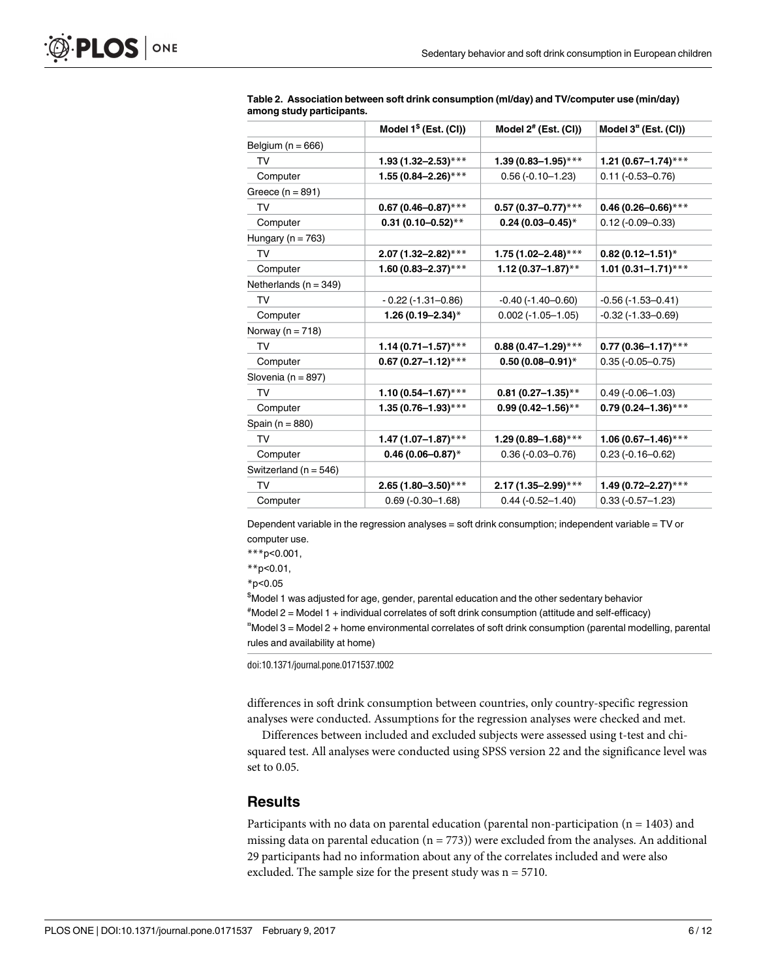<span id="page-5-0"></span>

|                           | Model $1§$ (Est. (CI))     | Model $2^*$ (Est. (CI)) | Model $3n$ (Est. (CI))     |
|---------------------------|----------------------------|-------------------------|----------------------------|
| Belgium ( $n = 666$ )     |                            |                         |                            |
| TV                        | $1.93(1.32 - 2.53)$ ***    | $1.39(0.83 - 1.95)$ *** | 1.21 (0.67-1.74)***        |
| Computer                  | $1.55(0.84 - 2.26)$ ***    | $0.56(-0.10 - 1.23)$    | $0.11 (-0.53 - 0.76)$      |
| Greece $(n = 891)$        |                            |                         |                            |
| TV                        | $0.67(0.46 - 0.87)$ ***    | $0.57(0.37 - 0.77)*$ ** | $0.46(0.26 - 0.66)$ ***    |
| Computer                  | $0.31(0.10 - 0.52)$ **     | $0.24(0.03 - 0.45)^*$   | $0.12 (-0.09 - 0.33)$      |
| Hungary ( $n = 763$ )     |                            |                         |                            |
| TV                        | $2.07(1.32 - 2.82)$ ***    | $1.75(1.02 - 2.48)$ *** | $0.82(0.12 - 1.51)^{*}$    |
| Computer                  | 1.60 (0.83-2.37)***        | 1.12 (0.37-1.87)**      | 1.01 $(0.31 - 1.71)$ ***   |
| Netherlands ( $n = 349$ ) |                            |                         |                            |
| TV                        | $-0.22$ ( $-1.31 - 0.86$ ) | $-0.40(-1.40 - 0.60)$   | $-0.56(-1.53-0.41)$        |
| Computer                  | 1.26 (0.19-2.34)*          | $0.002$ (-1.05-1.05)    | $-0.32$ ( $-1.33 - 0.69$ ) |
| Norway ( $n = 718$ )      |                            |                         |                            |
| TV                        | $1.14(0.71 - 1.57)$ ***    | $0.88(0.47 - 1.29)$ *** | $0.77(0.36 - 1.17)$ ***    |
| Computer                  | $0.67(0.27 - 1.12)$ ***    | $0.50(0.08 - 0.91)^*$   | $0.35(-0.05 - 0.75)$       |
| Slovenia (n = 897)        |                            |                         |                            |
| <b>TV</b>                 | $1.10(0.54 - 1.67)$ ***    | $0.81(0.27 - 1.35)$ **  | $0.49(-0.06 - 1.03)$       |
| Computer                  | $1.35(0.76 - 1.93)$ ***    | $0.99(0.42 - 1.56)$ **  | $0.79(0.24 - 1.36)$ ***    |
| Spain ( $n = 880$ )       |                            |                         |                            |
| TV                        | 1.47 (1.07-1.87)***        | $1.29(0.89 - 1.68)$ *** | $1.06(0.67 - 1.46)$ ***    |
| Computer                  | $0.46(0.06 - 0.87)^*$      | $0.36(-0.03 - 0.76)$    | $0.23 (-0.16 - 0.62)$      |
| Switzerland ( $n = 546$ ) |                            |                         |                            |
| TV                        | $2.65(1.80 - 3.50)$ ***    | $2.17(1.35 - 2.99)$ *** | 1.49 (0.72-2.27)***        |
| Computer                  | $0.69(-0.30 - 1.68)$       | $0.44 (-0.52 - 1.40)$   | $0.33(-0.57 - 1.23)$       |
|                           |                            |                         |                            |

| Table 2. Association between soft drink consumption (ml/day) and TV/computer use (min/day) |  |  |
|--------------------------------------------------------------------------------------------|--|--|
| among study participants.                                                                  |  |  |

Dependent variable in the regression analyses = soft drink consumption; independent variable = TV or computer use.

\*\*\*p<0.001,

\*\*p<0.01,

\*p<0.05

\$ Model 1 was adjusted for age, gender, parental education and the other sedentary behavior # Model 2 = Model 1 + individual correlates of soft drink consumption (attitude and self-efficacy) ¤ Model 3 = Model 2 + home environmental correlates of soft drink consumption (parental modelling, parental rules and availability at home)

doi:10.1371/journal.pone.0171537.t002

differences in soft drink consumption between countries, only country-specific regression analyses were conducted. Assumptions for the regression analyses were checked and met.

Differences between included and excluded subjects were assessed using t-test and chisquared test. All analyses were conducted using SPSS version 22 and the significance level was set to 0.05.

### **Results**

Participants with no data on parental education (parental non-participation ( $n = 1403$ ) and missing data on parental education  $(n = 773)$ ) were excluded from the analyses. An additional 29 participants had no information about any of the correlates included and were also excluded. The sample size for the present study was  $n = 5710$ .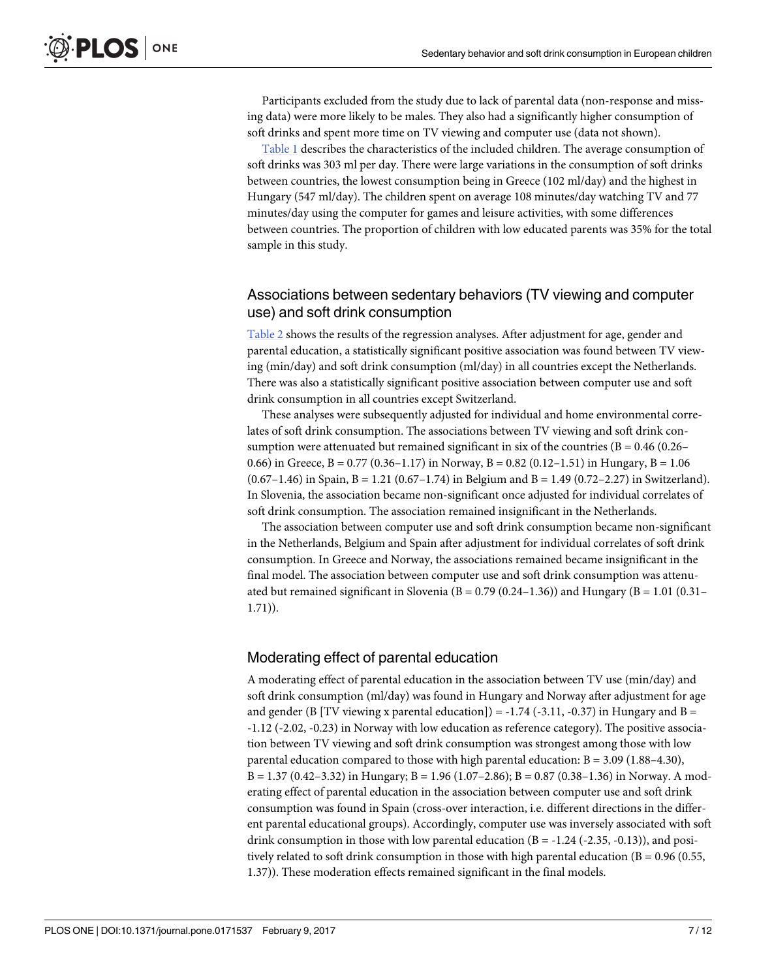Participants excluded from the study due to lack of parental data (non-response and missing data) were more likely to be males. They also had a significantly higher consumption of soft drinks and spent more time on TV viewing and computer use (data not shown).

[Table](#page-4-0) 1 describes the characteristics of the included children. The average consumption of soft drinks was 303 ml per day. There were large variations in the consumption of soft drinks between countries, the lowest consumption being in Greece (102 ml/day) and the highest in Hungary (547 ml/day). The children spent on average 108 minutes/day watching TV and 77 minutes/day using the computer for games and leisure activities, with some differences between countries. The proportion of children with low educated parents was 35% for the total sample in this study.

### Associations between sedentary behaviors (TV viewing and computer use) and soft drink consumption

[Table](#page-5-0) 2 shows the results of the regression analyses. After adjustment for age, gender and parental education, a statistically significant positive association was found between TV viewing (min/day) and soft drink consumption (ml/day) in all countries except the Netherlands. There was also a statistically significant positive association between computer use and soft drink consumption in all countries except Switzerland.

These analyses were subsequently adjusted for individual and home environmental correlates of soft drink consumption. The associations between TV viewing and soft drink consumption were attenuated but remained significant in six of the countries ( $B = 0.46$  ( $0.26-$ 0.66) in Greece,  $B = 0.77$  (0.36–1.17) in Norway,  $B = 0.82$  (0.12–1.51) in Hungary,  $B = 1.06$  $(0.67-1.46)$  in Spain, B = 1.21  $(0.67-1.74)$  in Belgium and B = 1.49  $(0.72-2.27)$  in Switzerland). In Slovenia, the association became non-significant once adjusted for individual correlates of soft drink consumption. The association remained insignificant in the Netherlands.

The association between computer use and soft drink consumption became non-significant in the Netherlands, Belgium and Spain after adjustment for individual correlates of soft drink consumption. In Greece and Norway, the associations remained became insignificant in the final model. The association between computer use and soft drink consumption was attenuated but remained significant in Slovenia (B =  $0.79$  (0.24–1.36)) and Hungary (B = 1.01 (0.31– 1.71)).

### Moderating effect of parental education

A moderating effect of parental education in the association between TV use (min/day) and soft drink consumption (ml/day) was found in Hungary and Norway after adjustment for age and gender (B [TV viewing x parental education]) =  $-1.74$  ( $-3.11$ ,  $-0.37$ ) in Hungary and B = -1.12 (-2.02, -0.23) in Norway with low education as reference category). The positive association between TV viewing and soft drink consumption was strongest among those with low parental education compared to those with high parental education:  $B = 3.09$  (1.88–4.30),  $B = 1.37 (0.42 - 3.32)$  in Hungary;  $B = 1.96 (1.07 - 2.86)$ ;  $B = 0.87 (0.38 - 1.36)$  in Norway. A moderating effect of parental education in the association between computer use and soft drink consumption was found in Spain (cross-over interaction, i.e. different directions in the different parental educational groups). Accordingly, computer use was inversely associated with soft drink consumption in those with low parental education  $(B = -1.24$  (-2.35, -0.13)), and positively related to soft drink consumption in those with high parental education ( $B = 0.96$  (0.55, 1.37)). These moderation effects remained significant in the final models.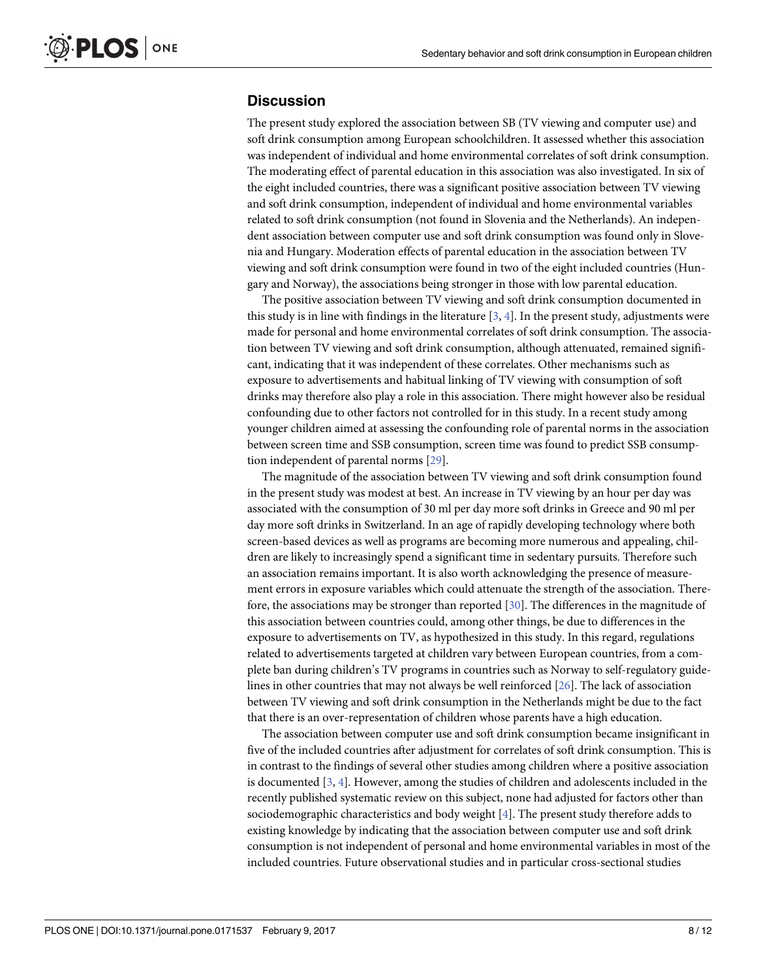### <span id="page-7-0"></span>**Discussion**

The present study explored the association between SB (TV viewing and computer use) and soft drink consumption among European schoolchildren. It assessed whether this association was independent of individual and home environmental correlates of soft drink consumption. The moderating effect of parental education in this association was also investigated. In six of the eight included countries, there was a significant positive association between TV viewing and soft drink consumption, independent of individual and home environmental variables related to soft drink consumption (not found in Slovenia and the Netherlands). An independent association between computer use and soft drink consumption was found only in Slovenia and Hungary. Moderation effects of parental education in the association between TV viewing and soft drink consumption were found in two of the eight included countries (Hungary and Norway), the associations being stronger in those with low parental education.

The positive association between TV viewing and soft drink consumption documented in this study is in line with findings in the literature  $[3, 4]$  $[3, 4]$  $[3, 4]$  $[3, 4]$ . In the present study, adjustments were made for personal and home environmental correlates of soft drink consumption. The association between TV viewing and soft drink consumption, although attenuated, remained significant, indicating that it was independent of these correlates. Other mechanisms such as exposure to advertisements and habitual linking of TV viewing with consumption of soft drinks may therefore also play a role in this association. There might however also be residual confounding due to other factors not controlled for in this study. In a recent study among younger children aimed at assessing the confounding role of parental norms in the association between screen time and SSB consumption, screen time was found to predict SSB consumption independent of parental norms [[29](#page-11-0)].

The magnitude of the association between TV viewing and soft drink consumption found in the present study was modest at best. An increase in TV viewing by an hour per day was associated with the consumption of 30 ml per day more soft drinks in Greece and 90 ml per day more soft drinks in Switzerland. In an age of rapidly developing technology where both screen-based devices as well as programs are becoming more numerous and appealing, children are likely to increasingly spend a significant time in sedentary pursuits. Therefore such an association remains important. It is also worth acknowledging the presence of measurement errors in exposure variables which could attenuate the strength of the association. Therefore, the associations may be stronger than reported [[30](#page-11-0)]. The differences in the magnitude of this association between countries could, among other things, be due to differences in the exposure to advertisements on TV, as hypothesized in this study. In this regard, regulations related to advertisements targeted at children vary between European countries, from a complete ban during children's TV programs in countries such as Norway to self-regulatory guidelines in other countries that may not always be well reinforced [[26](#page-11-0)]. The lack of association between TV viewing and soft drink consumption in the Netherlands might be due to the fact that there is an over-representation of children whose parents have a high education.

The association between computer use and soft drink consumption became insignificant in five of the included countries after adjustment for correlates of soft drink consumption. This is in contrast to the findings of several other studies among children where a positive association is documented [\[3](#page-10-0), [4](#page-10-0)]. However, among the studies of children and adolescents included in the recently published systematic review on this subject, none had adjusted for factors other than sociodemographic characteristics and body weight [\[4](#page-10-0)]. The present study therefore adds to existing knowledge by indicating that the association between computer use and soft drink consumption is not independent of personal and home environmental variables in most of the included countries. Future observational studies and in particular cross-sectional studies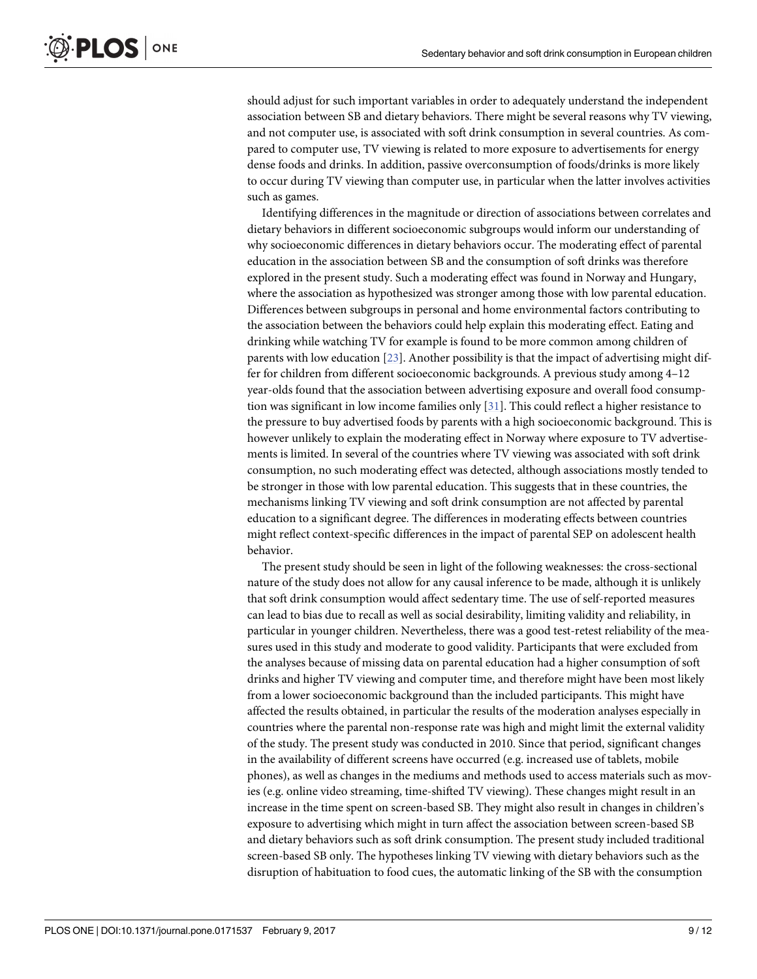<span id="page-8-0"></span>should adjust for such important variables in order to adequately understand the independent association between SB and dietary behaviors. There might be several reasons why TV viewing, and not computer use, is associated with soft drink consumption in several countries. As compared to computer use, TV viewing is related to more exposure to advertisements for energy dense foods and drinks. In addition, passive overconsumption of foods/drinks is more likely to occur during TV viewing than computer use, in particular when the latter involves activities such as games.

Identifying differences in the magnitude or direction of associations between correlates and dietary behaviors in different socioeconomic subgroups would inform our understanding of why socioeconomic differences in dietary behaviors occur. The moderating effect of parental education in the association between SB and the consumption of soft drinks was therefore explored in the present study. Such a moderating effect was found in Norway and Hungary, where the association as hypothesized was stronger among those with low parental education. Differences between subgroups in personal and home environmental factors contributing to the association between the behaviors could help explain this moderating effect. Eating and drinking while watching TV for example is found to be more common among children of parents with low education [\[23\]](#page-11-0). Another possibility is that the impact of advertising might differ for children from different socioeconomic backgrounds. A previous study among 4–12 year-olds found that the association between advertising exposure and overall food consumption was significant in low income families only [[31](#page-11-0)]. This could reflect a higher resistance to the pressure to buy advertised foods by parents with a high socioeconomic background. This is however unlikely to explain the moderating effect in Norway where exposure to TV advertisements is limited. In several of the countries where TV viewing was associated with soft drink consumption, no such moderating effect was detected, although associations mostly tended to be stronger in those with low parental education. This suggests that in these countries, the mechanisms linking TV viewing and soft drink consumption are not affected by parental education to a significant degree. The differences in moderating effects between countries might reflect context-specific differences in the impact of parental SEP on adolescent health behavior.

The present study should be seen in light of the following weaknesses: the cross-sectional nature of the study does not allow for any causal inference to be made, although it is unlikely that soft drink consumption would affect sedentary time. The use of self-reported measures can lead to bias due to recall as well as social desirability, limiting validity and reliability, in particular in younger children. Nevertheless, there was a good test-retest reliability of the measures used in this study and moderate to good validity. Participants that were excluded from the analyses because of missing data on parental education had a higher consumption of soft drinks and higher TV viewing and computer time, and therefore might have been most likely from a lower socioeconomic background than the included participants. This might have affected the results obtained, in particular the results of the moderation analyses especially in countries where the parental non-response rate was high and might limit the external validity of the study. The present study was conducted in 2010. Since that period, significant changes in the availability of different screens have occurred (e.g. increased use of tablets, mobile phones), as well as changes in the mediums and methods used to access materials such as movies (e.g. online video streaming, time-shifted TV viewing). These changes might result in an increase in the time spent on screen-based SB. They might also result in changes in children's exposure to advertising which might in turn affect the association between screen-based SB and dietary behaviors such as soft drink consumption. The present study included traditional screen-based SB only. The hypotheses linking TV viewing with dietary behaviors such as the disruption of habituation to food cues, the automatic linking of the SB with the consumption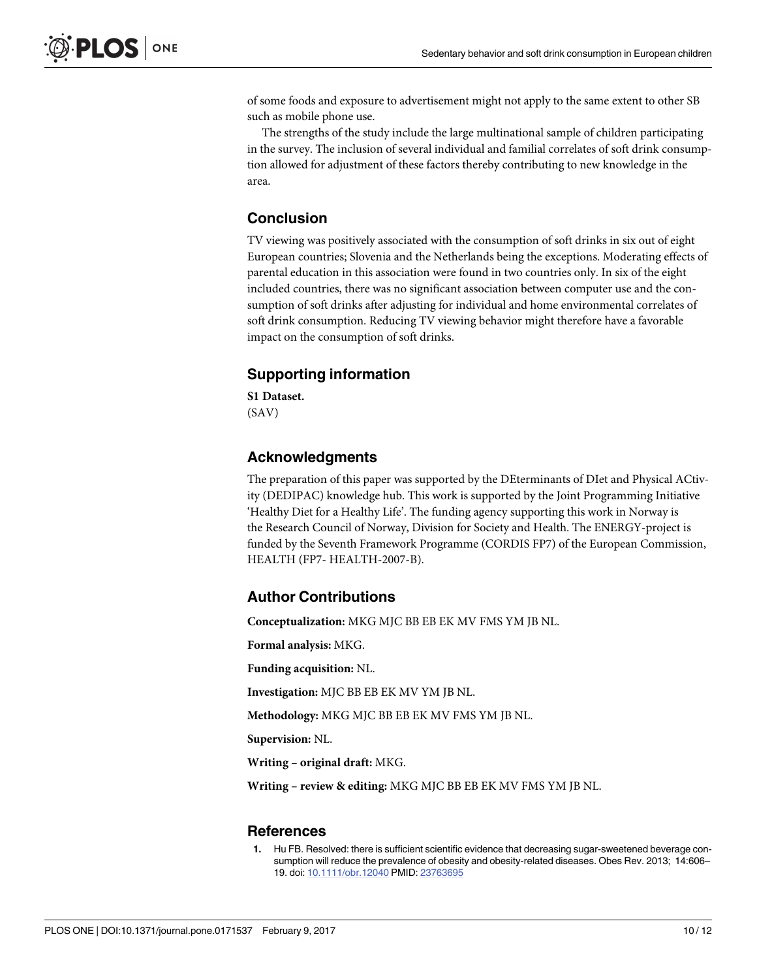<span id="page-9-0"></span>of some foods and exposure to advertisement might not apply to the same extent to other SB such as mobile phone use.

The strengths of the study include the large multinational sample of children participating in the survey. The inclusion of several individual and familial correlates of soft drink consumption allowed for adjustment of these factors thereby contributing to new knowledge in the area.

# **Conclusion**

TV viewing was positively associated with the consumption of soft drinks in six out of eight European countries; Slovenia and the Netherlands being the exceptions. Moderating effects of parental education in this association were found in two countries only. In six of the eight included countries, there was no significant association between computer use and the consumption of soft drinks after adjusting for individual and home environmental correlates of soft drink consumption. Reducing TV viewing behavior might therefore have a favorable impact on the consumption of soft drinks.

# **Supporting information**

**S1 [Dataset.](http://www.plosone.org/article/fetchSingleRepresentation.action?uri=info:doi/10.1371/journal.pone.0171537.s001)** (SAV)

# **Acknowledgments**

The preparation of this paper was supported by the DEterminants of DIet and Physical ACtivity (DEDIPAC) knowledge hub. This work is supported by the Joint Programming Initiative 'Healthy Diet for a Healthy Life'. The funding agency supporting this work in Norway is the Research Council of Norway, Division for Society and Health. The ENERGY-project is funded by the Seventh Framework Programme (CORDIS FP7) of the European Commission, HEALTH (FP7- HEALTH-2007-B).

# **Author Contributions**

**Conceptualization:** MKG MJC BB EB EK MV FMS YM JB NL.

**Formal analysis:** MKG.

**Funding acquisition:** NL.

**Investigation:** MJC BB EB EK MV YM JB NL.

**Methodology:** MKG MJC BB EB EK MV FMS YM JB NL.

**Supervision:** NL.

**Writing – original draft:** MKG.

**Writing – review & editing:** MKG MJC BB EB EK MV FMS YM JB NL.

## **References**

**[1](#page-1-0).** Hu FB. Resolved: there is sufficient scientific evidence that decreasing sugar-sweetened beverage consumption will reduce the prevalence of obesity and obesity-related diseases. Obes Rev. 2013; 14:606– 19. doi: [10.1111/obr.12040](http://dx.doi.org/10.1111/obr.12040) PMID: [23763695](http://www.ncbi.nlm.nih.gov/pubmed/23763695)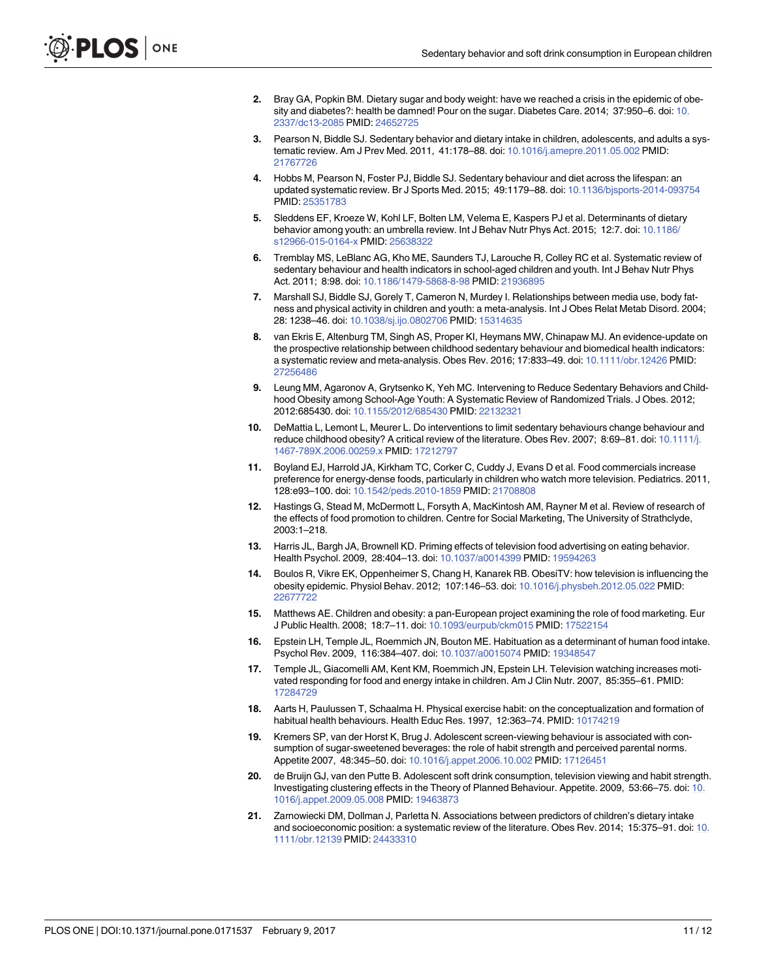- <span id="page-10-0"></span>**[2](#page-1-0).** Bray GA, Popkin BM. Dietary sugar and body weight: have we reached a crisis in the epidemic of obesity and diabetes?: health be damned! Pour on the sugar. Diabetes Care. 2014; 37:950–6. doi: [10.](http://dx.doi.org/10.2337/dc13-2085) [2337/dc13-2085](http://dx.doi.org/10.2337/dc13-2085) PMID: [24652725](http://www.ncbi.nlm.nih.gov/pubmed/24652725)
- **[3](#page-1-0).** Pearson N, Biddle SJ. Sedentary behavior and dietary intake in children, adolescents, and adults a systematic review. Am J Prev Med. 2011, 41:178–88. doi: [10.1016/j.amepre.2011.05.002](http://dx.doi.org/10.1016/j.amepre.2011.05.002) PMID: [21767726](http://www.ncbi.nlm.nih.gov/pubmed/21767726)
- **[4](#page-7-0).** Hobbs M, Pearson N, Foster PJ, Biddle SJ. Sedentary behaviour and diet across the lifespan: an updated systematic review. Br J Sports Med. 2015; 49:1179–88. doi: [10.1136/bjsports-2014-093754](http://dx.doi.org/10.1136/bjsports-2014-093754) PMID: [25351783](http://www.ncbi.nlm.nih.gov/pubmed/25351783)
- **[5](#page-1-0).** Sleddens EF, Kroeze W, Kohl LF, Bolten LM, Velema E, Kaspers PJ et al. Determinants of dietary behavior among youth: an umbrella review. Int J Behav Nutr Phys Act. 2015; 12:7. doi: [10.1186/](http://dx.doi.org/10.1186/s12966-015-0164-x) [s12966-015-0164-x](http://dx.doi.org/10.1186/s12966-015-0164-x) PMID: [25638322](http://www.ncbi.nlm.nih.gov/pubmed/25638322)
- **[6](#page-1-0).** Tremblay MS, LeBlanc AG, Kho ME, Saunders TJ, Larouche R, Colley RC et al. Systematic review of sedentary behaviour and health indicators in school-aged children and youth. Int J Behav Nutr Phys Act. 2011; 8:98. doi: [10.1186/1479-5868-8-98](http://dx.doi.org/10.1186/1479-5868-8-98) PMID: [21936895](http://www.ncbi.nlm.nih.gov/pubmed/21936895)
- **7.** Marshall SJ, Biddle SJ, Gorely T, Cameron N, Murdey I. Relationships between media use, body fatness and physical activity in children and youth: a meta-analysis. Int J Obes Relat Metab Disord. 2004; 28: 1238–46. doi: [10.1038/sj.ijo.0802706](http://dx.doi.org/10.1038/sj.ijo.0802706) PMID: [15314635](http://www.ncbi.nlm.nih.gov/pubmed/15314635)
- **8.** van Ekris E, Altenburg TM, Singh AS, Proper KI, Heymans MW, Chinapaw MJ. An evidence-update on the prospective relationship between childhood sedentary behaviour and biomedical health indicators: a systematic review and meta-analysis. Obes Rev. 2016; 17:833–49. doi: [10.1111/obr.12426](http://dx.doi.org/10.1111/obr.12426) PMID: [27256486](http://www.ncbi.nlm.nih.gov/pubmed/27256486)
- **9.** Leung MM, Agaronov A, Grytsenko K, Yeh MC. Intervening to Reduce Sedentary Behaviors and Childhood Obesity among School-Age Youth: A Systematic Review of Randomized Trials. J Obes. 2012; 2012:685430. doi: [10.1155/2012/685430](http://dx.doi.org/10.1155/2012/685430) PMID: [22132321](http://www.ncbi.nlm.nih.gov/pubmed/22132321)
- **[10](#page-1-0).** DeMattia L, Lemont L, Meurer L. Do interventions to limit sedentary behaviours change behaviour and reduce childhood obesity? A critical review of the literature. Obes Rev. 2007; 8:69–81. doi: [10.1111/j.](http://dx.doi.org/10.1111/j.1467-789X.2006.00259.x) [1467-789X.2006.00259.x](http://dx.doi.org/10.1111/j.1467-789X.2006.00259.x) PMID: [17212797](http://www.ncbi.nlm.nih.gov/pubmed/17212797)
- **[11](#page-1-0).** Boyland EJ, Harrold JA, Kirkham TC, Corker C, Cuddy J, Evans D et al. Food commercials increase preference for energy-dense foods, particularly in children who watch more television. Pediatrics. 2011, 128:e93–100. doi: [10.1542/peds.2010-1859](http://dx.doi.org/10.1542/peds.2010-1859) PMID: [21708808](http://www.ncbi.nlm.nih.gov/pubmed/21708808)
- **12.** Hastings G, Stead M, McDermott L, Forsyth A, MacKintosh AM, Rayner M et al. Review of research of the effects of food promotion to children. Centre for Social Marketing, The University of Strathclyde, 2003:1–218.
- **13.** Harris JL, Bargh JA, Brownell KD. Priming effects of television food advertising on eating behavior. Health Psychol. 2009, 28:404–13. doi: [10.1037/a0014399](http://dx.doi.org/10.1037/a0014399) PMID: [19594263](http://www.ncbi.nlm.nih.gov/pubmed/19594263)
- **[14](#page-1-0).** Boulos R, Vikre EK, Oppenheimer S, Chang H, Kanarek RB. ObesiTV: how television is influencing the obesity epidemic. Physiol Behav. 2012; 107:146–53. doi: [10.1016/j.physbeh.2012.05.022](http://dx.doi.org/10.1016/j.physbeh.2012.05.022) PMID: [22677722](http://www.ncbi.nlm.nih.gov/pubmed/22677722)
- **[15](#page-1-0).** Matthews AE. Children and obesity: a pan-European project examining the role of food marketing. Eur J Public Health. 2008; 18:7–11. doi: [10.1093/eurpub/ckm015](http://dx.doi.org/10.1093/eurpub/ckm015) PMID: [17522154](http://www.ncbi.nlm.nih.gov/pubmed/17522154)
- **[16](#page-1-0).** Epstein LH, Temple JL, Roemmich JN, Bouton ME. Habituation as a determinant of human food intake. Psychol Rev. 2009, 116:384–407. doi: [10.1037/a0015074](http://dx.doi.org/10.1037/a0015074) PMID: [19348547](http://www.ncbi.nlm.nih.gov/pubmed/19348547)
- **[17](#page-1-0).** Temple JL, Giacomelli AM, Kent KM, Roemmich JN, Epstein LH. Television watching increases motivated responding for food and energy intake in children. Am J Clin Nutr. 2007, 85:355–61. PMID: [17284729](http://www.ncbi.nlm.nih.gov/pubmed/17284729)
- **[18](#page-1-0).** Aarts H, Paulussen T, Schaalma H. Physical exercise habit: on the conceptualization and formation of habitual health behaviours. Health Educ Res. 1997, 12:363–74. PMID: [10174219](http://www.ncbi.nlm.nih.gov/pubmed/10174219)
- **19.** Kremers SP, van der Horst K, Brug J. Adolescent screen-viewing behaviour is associated with consumption of sugar-sweetened beverages: the role of habit strength and perceived parental norms. Appetite 2007, 48:345–50. doi: [10.1016/j.appet.2006.10.002](http://dx.doi.org/10.1016/j.appet.2006.10.002) PMID: [17126451](http://www.ncbi.nlm.nih.gov/pubmed/17126451)
- **[20](#page-1-0).** de Bruijn GJ, van den Putte B. Adolescent soft drink consumption, television viewing and habit strength. Investigating clustering effects in the Theory of Planned Behaviour. Appetite. 2009, 53:66–75. doi: [10.](http://dx.doi.org/10.1016/j.appet.2009.05.008) [1016/j.appet.2009.05.008](http://dx.doi.org/10.1016/j.appet.2009.05.008) PMID: [19463873](http://www.ncbi.nlm.nih.gov/pubmed/19463873)
- **[21](#page-2-0).** Zarnowiecki DM, Dollman J, Parletta N. Associations between predictors of children's dietary intake and socioeconomic position: a systematic review of the literature. Obes Rev. 2014; 15:375–91. doi: [10.](http://dx.doi.org/10.1111/obr.12139) [1111/obr.12139](http://dx.doi.org/10.1111/obr.12139) PMID: [24433310](http://www.ncbi.nlm.nih.gov/pubmed/24433310)